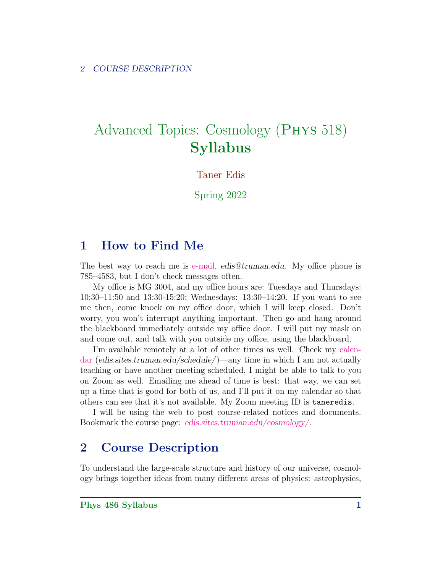# Advanced Topics: Cosmology (Phys 518) Syllabus

Taner Edis

Spring 2022

# 1 How to Find Me

The best way to reach me is [e-mail,](mailto:edis@truman.edu) edis@truman.edu. My office phone is 785–4583, but I don't check messages often.

My office is MG 3004, and my office hours are: Tuesdays and Thursdays: 10:30–11:50 and 13:30-15:20; Wednesdays: 13:30–14:20. If you want to see me then, come knock on my office door, which I will keep closed. Don't worry, you won't interrupt anything important. Then go and hang around the blackboard immediately outside my office door. I will put my mask on and come out, and talk with you outside my office, using the blackboard.

I'm available remotely at a lot of other times as well. Check my [calen](http://edis.sites.truman.edu/schedule/)[dar](http://edis.sites.truman.edu/schedule/) (edis.sites.truman.edu/schedule/)—any time in which I am not actually teaching or have another meeting scheduled, I might be able to talk to you on Zoom as well. Emailing me ahead of time is best: that way, we can set up a time that is good for both of us, and I'll put it on my calendar so that others can see that it's not available. My Zoom meeting ID is taneredis.

I will be using the web to post course-related notices and documents. Bookmark the course page: [edis.sites.truman.edu/cosmology/](http://edis.sites.truman.edu/cosmology/).

# 2 Course Description

To understand the large-scale structure and history of our universe, cosmology brings together ideas from many different areas of physics: astrophysics,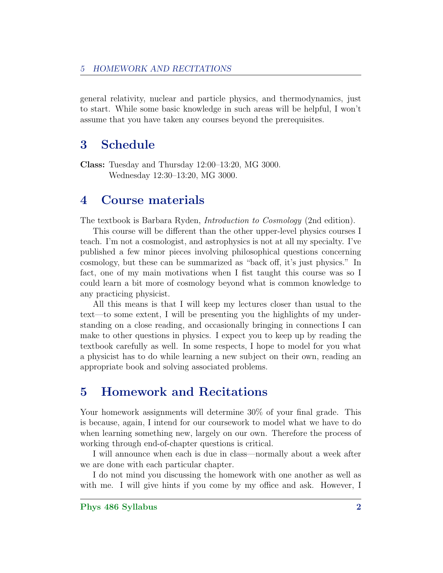general relativity, nuclear and particle physics, and thermodynamics, just to start. While some basic knowledge in such areas will be helpful, I won't assume that you have taken any courses beyond the prerequisites.

### 3 Schedule

Class: Tuesday and Thursday 12:00–13:20, MG 3000. Wednesday 12:30–13:20, MG 3000.

#### 4 Course materials

The textbook is Barbara Ryden, Introduction to Cosmology (2nd edition).

This course will be different than the other upper-level physics courses I teach. I'm not a cosmologist, and astrophysics is not at all my specialty. I've published a few minor pieces involving philosophical questions concerning cosmology, but these can be summarized as "back off, it's just physics." In fact, one of my main motivations when I fist taught this course was so I could learn a bit more of cosmology beyond what is common knowledge to any practicing physicist.

All this means is that I will keep my lectures closer than usual to the text—to some extent, I will be presenting you the highlights of my understanding on a close reading, and occasionally bringing in connections I can make to other questions in physics. I expect you to keep up by reading the textbook carefully as well. In some respects, I hope to model for you what a physicist has to do while learning a new subject on their own, reading an appropriate book and solving associated problems.

# 5 Homework and Recitations

Your homework assignments will determine  $30\%$  of your final grade. This is because, again, I intend for our coursework to model what we have to do when learning something new, largely on our own. Therefore the process of working through end-of-chapter questions is critical.

I will announce when each is due in class—normally about a week after we are done with each particular chapter.

I do not mind you discussing the homework with one another as well as with me. I will give hints if you come by my office and ask. However, I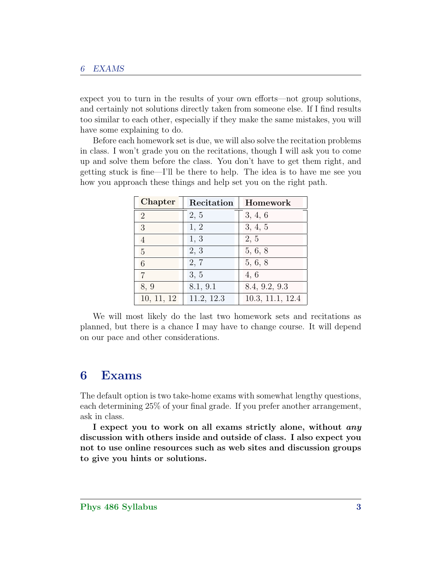expect you to turn in the results of your own efforts—not group solutions, and certainly not solutions directly taken from someone else. If I find results too similar to each other, especially if they make the same mistakes, you will have some explaining to do.

Before each homework set is due, we will also solve the recitation problems in class. I won't grade you on the recitations, though I will ask you to come up and solve them before the class. You don't have to get them right, and getting stuck is fine—I'll be there to help. The idea is to have me see you how you approach these things and help set you on the right path.

| Chapter        | Recitation | Homework         |
|----------------|------------|------------------|
| $\overline{2}$ | 2, 5       | 3, 4, 6          |
| 3              | 1, 2       | 3, 4, 5          |
| 4              | 1, 3       | 2, 5             |
| 5              | 2, 3       | 5, 6, 8          |
| 6              | 2, 7       | 5, 6, 8          |
| $\overline{7}$ | 3, 5       | 4, 6             |
| 8, 9           | 8.1, 9.1   | 8.4, 9.2, 9.3    |
| 10, 11, 12     | 11.2, 12.3 | 10.3, 11.1, 12.4 |

We will most likely do the last two homework sets and recitations as planned, but there is a chance I may have to change course. It will depend on our pace and other considerations.

#### 6 Exams

The default option is two take-home exams with somewhat lengthy questions, each determining 25% of your final grade. If you prefer another arrangement, ask in class.

I expect you to work on all exams strictly alone, without *any* discussion with others inside and outside of class. I also expect you not to use online resources such as web sites and discussion groups to give you hints or solutions.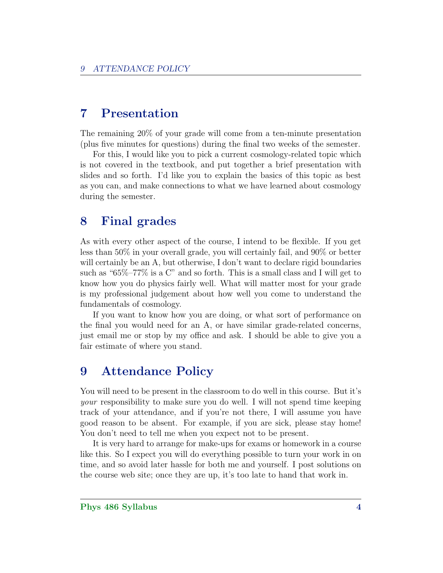# 7 Presentation

The remaining 20% of your grade will come from a ten-minute presentation (plus five minutes for questions) during the final two weeks of the semester.

For this, I would like you to pick a current cosmology-related topic which is not covered in the textbook, and put together a brief presentation with slides and so forth. I'd like you to explain the basics of this topic as best as you can, and make connections to what we have learned about cosmology during the semester.

# 8 Final grades

As with every other aspect of the course, I intend to be flexible. If you get less than 50% in your overall grade, you will certainly fail, and 90% or better will certainly be an A, but otherwise, I don't want to declare rigid boundaries such as "65%–77% is a C" and so forth. This is a small class and I will get to know how you do physics fairly well. What will matter most for your grade is my professional judgement about how well you come to understand the fundamentals of cosmology.

If you want to know how you are doing, or what sort of performance on the final you would need for an A, or have similar grade-related concerns, just email me or stop by my office and ask. I should be able to give you a fair estimate of where you stand.

# 9 Attendance Policy

You will need to be present in the classroom to do well in this course. But it's your responsibility to make sure you do well. I will not spend time keeping track of your attendance, and if you're not there, I will assume you have good reason to be absent. For example, if you are sick, please stay home! You don't need to tell me when you expect not to be present.

It is very hard to arrange for make-ups for exams or homework in a course like this. So I expect you will do everything possible to turn your work in on time, and so avoid later hassle for both me and yourself. I post solutions on the course web site; once they are up, it's too late to hand that work in.